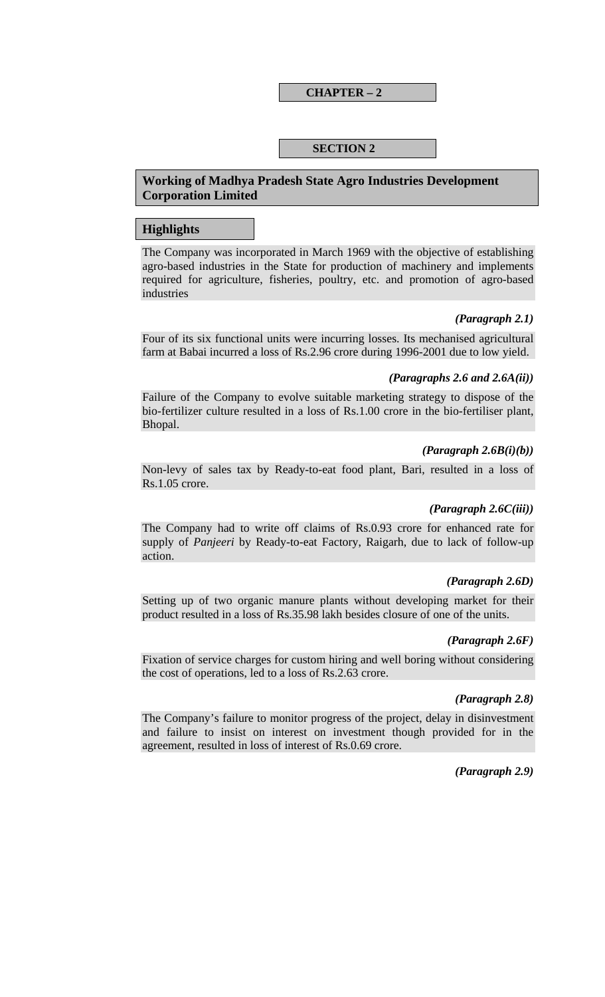### **CHAPTER – 2**

## **SECTION 2**

## **Working of Madhya Pradesh State Agro Industries Development Corporation Limited**

### **Highlights**

The Company was incorporated in March 1969 with the objective of establishing agro-based industries in the State for production of machinery and implements required for agriculture, fisheries, poultry, etc. and promotion of agro-based industries

### *(Paragraph 2.1)*

Four of its six functional units were incurring losses. Its mechanised agricultural farm at Babai incurred a loss of Rs.2.96 crore during 1996-2001 due to low yield.

#### *(Paragraphs 2.6 and 2.6A(ii))*

Failure of the Company to evolve suitable marketing strategy to dispose of the bio-fertilizer culture resulted in a loss of Rs.1.00 crore in the bio-fertiliser plant, Bhopal.

### *(Paragraph 2.6B(i)(b))*

Non-levy of sales tax by Ready-to-eat food plant, Bari, resulted in a loss of Rs.1.05 crore.

### *(Paragraph 2.6C(iii))*

The Company had to write off claims of Rs.0.93 crore for enhanced rate for supply of *Panjeeri* by Ready-to-eat Factory, Raigarh, due to lack of follow-up action.

### *(Paragraph 2.6D)*

Setting up of two organic manure plants without developing market for their product resulted in a loss of Rs.35.98 lakh besides closure of one of the units.

### *(Paragraph 2.6F)*

Fixation of service charges for custom hiring and well boring without considering the cost of operations, led to a loss of Rs.2.63 crore.

### *(Paragraph 2.8)*

The Company's failure to monitor progress of the project, delay in disinvestment and failure to insist on interest on investment though provided for in the agreement, resulted in loss of interest of Rs.0.69 crore.

*(Paragraph 2.9)*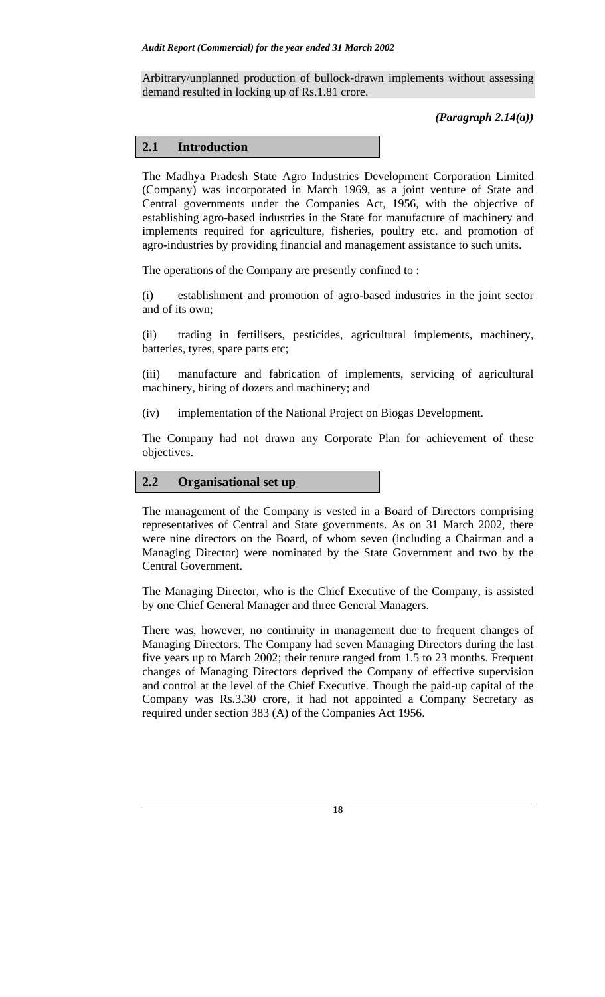Arbitrary/unplanned production of bullock-drawn implements without assessing demand resulted in locking up of Rs.1.81 crore.

*(Paragraph 2.14(a))* 

# **2.1 Introduction**

The Madhya Pradesh State Agro Industries Development Corporation Limited (Company) was incorporated in March 1969, as a joint venture of State and Central governments under the Companies Act, 1956, with the objective of establishing agro-based industries in the State for manufacture of machinery and implements required for agriculture, fisheries, poultry etc. and promotion of agro-industries by providing financial and management assistance to such units.

The operations of the Company are presently confined to :

(i) establishment and promotion of agro-based industries in the joint sector and of its own;

(ii) trading in fertilisers, pesticides, agricultural implements, machinery, batteries, tyres, spare parts etc;

(iii) manufacture and fabrication of implements, servicing of agricultural machinery, hiring of dozers and machinery; and

(iv) implementation of the National Project on Biogas Development.

The Company had not drawn any Corporate Plan for achievement of these objectives.

# **2.2 Organisational set up**

The management of the Company is vested in a Board of Directors comprising representatives of Central and State governments. As on 31 March 2002, there were nine directors on the Board, of whom seven (including a Chairman and a Managing Director) were nominated by the State Government and two by the Central Government.

The Managing Director, who is the Chief Executive of the Company, is assisted by one Chief General Manager and three General Managers.

There was, however, no continuity in management due to frequent changes of Managing Directors. The Company had seven Managing Directors during the last five years up to March 2002; their tenure ranged from 1.5 to 23 months. Frequent changes of Managing Directors deprived the Company of effective supervision and control at the level of the Chief Executive. Though the paid-up capital of the Company was Rs.3.30 crore, it had not appointed a Company Secretary as required under section 383 (A) of the Companies Act 1956.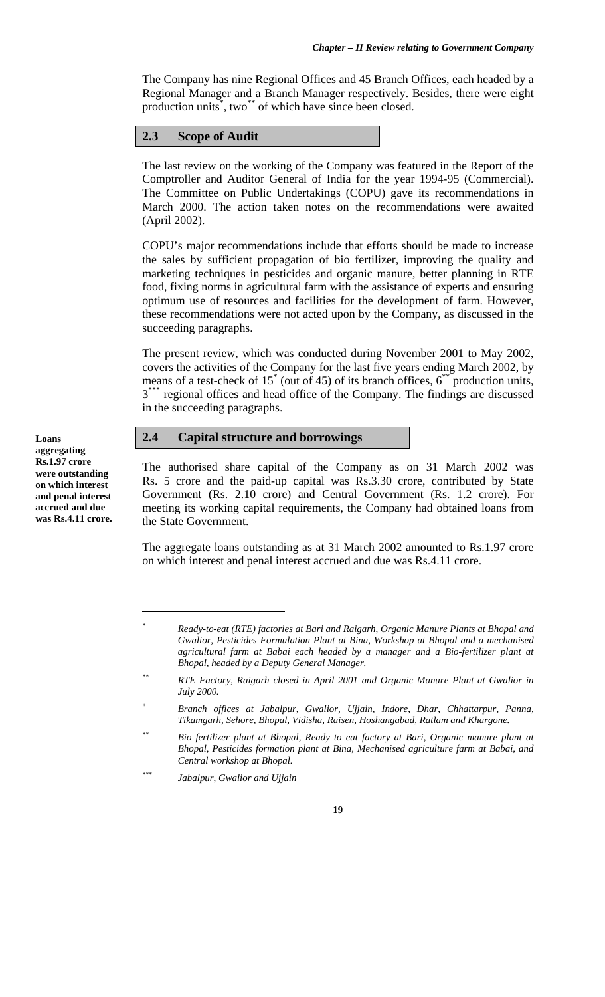The Company has nine Regional Offices and 45 Branch Offices, each headed by a Regional Manager and a Branch Manager respectively. Besides, there were eight production units<sup>\*</sup>, two<sup>\*\*</sup> of which have since been closed.

## **2.3 Scope of Audit**

The last review on the working of the Company was featured in the Report of the Comptroller and Auditor General of India for the year 1994-95 (Commercial). The Committee on Public Undertakings (COPU) gave its recommendations in March 2000. The action taken notes on the recommendations were awaited (April 2002).

COPU's major recommendations include that efforts should be made to increase the sales by sufficient propagation of bio fertilizer, improving the quality and marketing techniques in pesticides and organic manure, better planning in RTE food, fixing norms in agricultural farm with the assistance of experts and ensuring optimum use of resources and facilities for the development of farm. However, these recommendations were not acted upon by the Company, as discussed in the succeeding paragraphs.

The present review, which was conducted during November 2001 to May 2002, covers the activities of the Company for the last five years ending March 2002, by means of a test-check of  $15^*$  (out of 45) of its branch offices,  $6^{**}$  production units, 3<sup>\*\*\*</sup> regional offices and head office of the Company. The findings are discussed in the succeeding paragraphs.

### **2.4 Capital structure and borrowings**

The authorised share capital of the Company as on 31 March 2002 was Rs. 5 crore and the paid-up capital was Rs.3.30 crore, contributed by State Government (Rs. 2.10 crore) and Central Government (Rs. 1.2 crore). For meeting its working capital requirements, the Company had obtained loans from the State Government.

The aggregate loans outstanding as at 31 March 2002 amounted to Rs.1.97 crore on which interest and penal interest accrued and due was Rs.4.11 crore.

**Loans aggregating Rs.1.97 crore were outstanding on which interest and penal interest accrued and due was Rs.4.11 crore.** 

 $\overline{a}$ 

*<sup>\*</sup> Ready-to-eat (RTE) factories at Bari and Raigarh, Organic Manure Plants at Bhopal and Gwalior, Pesticides Formulation Plant at Bina, Workshop at Bhopal and a mechanised agricultural farm at Babai each headed by a manager and a Bio-fertilizer plant at Bhopal, headed by a Deputy General Manager.* 

*<sup>\*\*</sup> RTE Factory, Raigarh closed in April 2001 and Organic Manure Plant at Gwalior in July 2000.* 

*<sup>\*</sup> Branch offices at Jabalpur, Gwalior, Ujjain, Indore, Dhar, Chhattarpur, Panna, Tikamgarh, Sehore, Bhopal, Vidisha, Raisen, Hoshangabad, Ratlam and Khargone.* 

*<sup>\*\*</sup> Bio fertilizer plant at Bhopal, Ready to eat factory at Bari, Organic manure plant at Bhopal, Pesticides formation plant at Bina, Mechanised agriculture farm at Babai, and Central workshop at Bhopal.* 

*<sup>\*\*\*</sup> Jabalpur, Gwalior and Ujjain*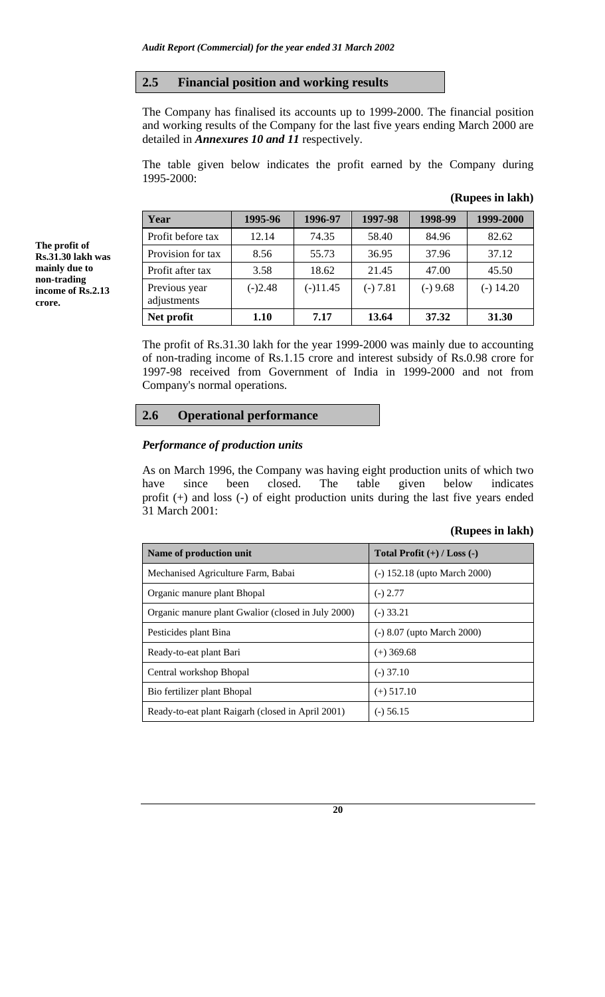### **2.5 Financial position and working results**

The Company has finalised its accounts up to 1999-2000. The financial position and working results of the Company for the last five years ending March 2000 are detailed in *Annexures 10 and 11* respectively.

The table given below indicates the profit earned by the Company during 1995-2000:

| Year                         | 1995-96   | 1996-97    | 1997-98    | 1998-99    | 1999-2000   |
|------------------------------|-----------|------------|------------|------------|-------------|
| Profit before tax            | 12.14     | 74.35      | 58.40      | 84.96      | 82.62       |
| Provision for tax            | 8.56      | 55.73      | 36.95      | 37.96      | 37.12       |
| Profit after tax             | 3.58      | 18.62      | 21.45      | 47.00      | 45.50       |
| Previous year<br>adjustments | $(-)2.48$ | $(-)11.45$ | $(-) 7.81$ | $(-) 9.68$ | $(-) 14.20$ |
| Net profit                   | 1.10      | 7.17       | 13.64      | 37.32      | 31.30       |

**(Rupees in lakh)** 

The profit of Rs.31.30 lakh for the year 1999-2000 was mainly due to accounting of non-trading income of Rs.1.15 crore and interest subsidy of Rs.0.98 crore for 1997-98 received from Government of India in 1999-2000 and not from Company's normal operations.

## **2.6 Operational performance**

### *P***e***rformance of production units*

As on March 1996, the Company was having eight production units of which two have since been closed. The table given below indicates profit (+) and loss (-) of eight production units during the last five years ended 31 March 2001:

### **(Rupees in lakh)**

| Name of production unit                            | Total Profit $(+)$ / Loss $(-)$ |
|----------------------------------------------------|---------------------------------|
| Mechanised Agriculture Farm, Babai                 | (-) 152.18 (upto March 2000)    |
| Organic manure plant Bhopal                        | $(-) 2.77$                      |
| Organic manure plant Gwalior (closed in July 2000) | (-) 33.21                       |
| Pesticides plant Bina                              | (-) 8.07 (upto March 2000)      |
| Ready-to-eat plant Bari                            | (+) 369.68                      |
| Central workshop Bhopal                            | (-) 37.10                       |
| Bio fertilizer plant Bhopal                        | $(+)$ 517.10                    |
| Ready-to-eat plant Raigarh (closed in April 2001)  | (-) 56.15                       |

**20**

**The profit of Rs.31.30 lakh was mainly due to non-trading income of Rs.2.13 crore.**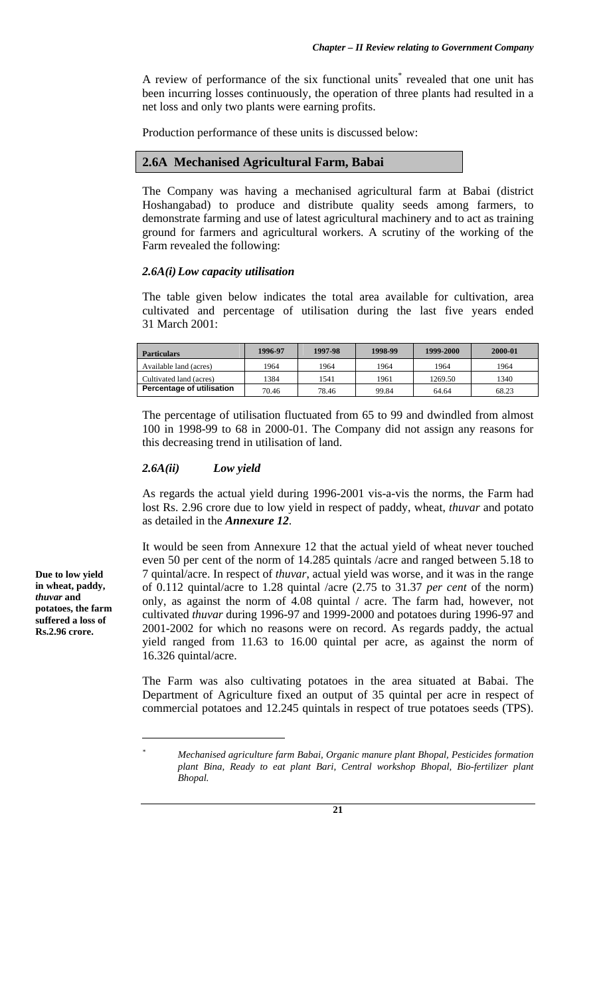A review of performance of the six functional units<sup>\*</sup> revealed that one unit has been incurring losses continuously, the operation of three plants had resulted in a net loss and only two plants were earning profits.

Production performance of these units is discussed below:

# **2.6A Mechanised Agricultural Farm, Babai**

The Company was having a mechanised agricultural farm at Babai (district Hoshangabad) to produce and distribute quality seeds among farmers, to demonstrate farming and use of latest agricultural machinery and to act as training ground for farmers and agricultural workers. A scrutiny of the working of the Farm revealed the following:

#### *2.6A(i) Low capacity utilisation*

The table given below indicates the total area available for cultivation, area cultivated and percentage of utilisation during the last five years ended 31 March 2001:

| <b>Particulars</b>        | 1996-97 | 1997-98 | 1998-99 | 1999-2000 | 2000-01 |
|---------------------------|---------|---------|---------|-----------|---------|
| Available land (acres)    | 1964    | 1964    | 1964    | 1964      | 1964    |
| Cultivated land (acres)   | 384     | 1541    | 1961    | 1269.50   | 1340    |
| Percentage of utilisation | 70.46   | 78.46   | 99.84   | 64.64     | 68.23   |

The percentage of utilisation fluctuated from 65 to 99 and dwindled from almost 100 in 1998-99 to 68 in 2000-01. The Company did not assign any reasons for this decreasing trend in utilisation of land.

#### *2.6A(ii) Low yield*

As regards the actual yield during 1996-2001 vis-a-vis the norms, the Farm had lost Rs. 2.96 crore due to low yield in respect of paddy, wheat, *thuvar* and potato as detailed in the *Annexure 12*.

It would be seen from Annexure 12 that the actual yield of wheat never touched even 50 per cent of the norm of 14.285 quintals /acre and ranged between 5.18 to 7 quintal/acre. In respect of *thuvar*, actual yield was worse, and it was in the range of 0.112 quintal/acre to 1.28 quintal /acre (2.75 to 31.37 *per cent* of the norm) only, as against the norm of 4.08 quintal / acre. The farm had, however, not cultivated *thuvar* during 1996-97 and 1999-2000 and potatoes during 1996-97 and 2001-2002 for which no reasons were on record. As regards paddy, the actual yield ranged from 11.63 to 16.00 quintal per acre, as against the norm of 16.326 quintal/acre.

The Farm was also cultivating potatoes in the area situated at Babai. The Department of Agriculture fixed an output of 35 quintal per acre in respect of commercial potatoes and 12.245 quintals in respect of true potatoes seeds (TPS).

**Due to low yield in wheat, paddy,**  *thuvar* **and potatoes, the farm suffered a loss of Rs.2.96 crore.** 

 $\overline{a}$ 

*<sup>\*</sup> Mechanised agriculture farm Babai, Organic manure plant Bhopal, Pesticides formation plant Bina, Ready to eat plant Bari, Central workshop Bhopal, Bio-fertilizer plant Bhopal.*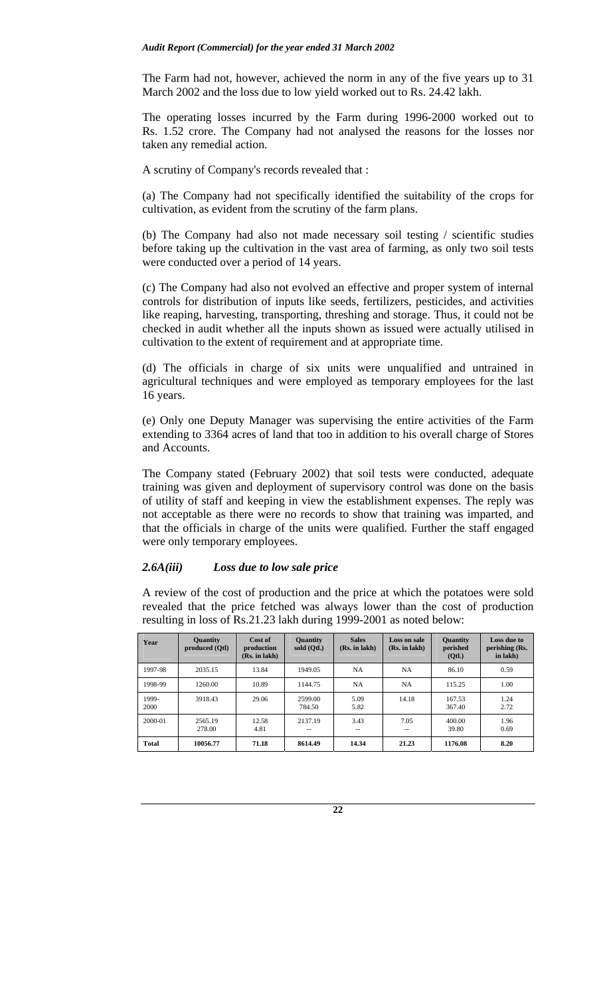The Farm had not, however, achieved the norm in any of the five years up to 31 March 2002 and the loss due to low yield worked out to Rs. 24.42 lakh.

The operating losses incurred by the Farm during 1996-2000 worked out to Rs. 1.52 crore. The Company had not analysed the reasons for the losses nor taken any remedial action.

A scrutiny of Company's records revealed that :

(a) The Company had not specifically identified the suitability of the crops for cultivation, as evident from the scrutiny of the farm plans.

(b) The Company had also not made necessary soil testing / scientific studies before taking up the cultivation in the vast area of farming, as only two soil tests were conducted over a period of 14 years.

(c) The Company had also not evolved an effective and proper system of internal controls for distribution of inputs like seeds, fertilizers, pesticides, and activities like reaping, harvesting, transporting, threshing and storage. Thus, it could not be checked in audit whether all the inputs shown as issued were actually utilised in cultivation to the extent of requirement and at appropriate time.

(d) The officials in charge of six units were unqualified and untrained in agricultural techniques and were employed as temporary employees for the last 16 years.

(e) Only one Deputy Manager was supervising the entire activities of the Farm extending to 3364 acres of land that too in addition to his overall charge of Stores and Accounts.

The Company stated (February 2002) that soil tests were conducted, adequate training was given and deployment of supervisory control was done on the basis of utility of staff and keeping in view the establishment expenses. The reply was not acceptable as there were no records to show that training was imparted, and that the officials in charge of the units were qualified. Further the staff engaged were only temporary employees.

## *2.6A(iii) Loss due to low sale price*

A review of the cost of production and the price at which the potatoes were sold revealed that the price fetched was always lower than the cost of production resulting in loss of Rs.21.23 lakh during 1999-2001 as noted below:

| Year          | <b>Quantity</b><br>produced (Otl) | Cost of<br>production<br>(Rs. in lakh) | <b>Quantity</b><br>sold (Otl.) | <b>Sales</b><br>(Rs. in lakh) | Loss on sale<br>(Rs. in lakh) | <b>Quantity</b><br>perished<br>(Qtl.) | Loss due to<br>perishing (Rs.<br>in lakh) |
|---------------|-----------------------------------|----------------------------------------|--------------------------------|-------------------------------|-------------------------------|---------------------------------------|-------------------------------------------|
| 1997-98       | 2035.15                           | 13.84                                  | 1949.05                        | NA                            | <b>NA</b>                     | 86.10                                 | 0.59                                      |
| 1998-99       | 1260.00                           | 10.89                                  | 1144.75                        | <b>NA</b>                     | <b>NA</b>                     | 115.25                                | 1.00                                      |
| 1999-<br>2000 | 3918.43                           | 29.06                                  | 2599.00<br>784.50              | 5.09<br>5.82                  | 14.18                         | 167.53<br>367.40                      | 1.24<br>2.72                              |
| 2000-01       | 2565.19<br>278.00                 | 12.58<br>4.81                          | 2137.19<br>--                  | 3.43<br>--                    | 7.05<br>--                    | 400.00<br>39.80                       | 1.96<br>0.69                              |
| <b>Total</b>  | 10056.77                          | 71.18                                  | 8614.49                        | 14.34                         | 21.23                         | 1176.08                               | 8.20                                      |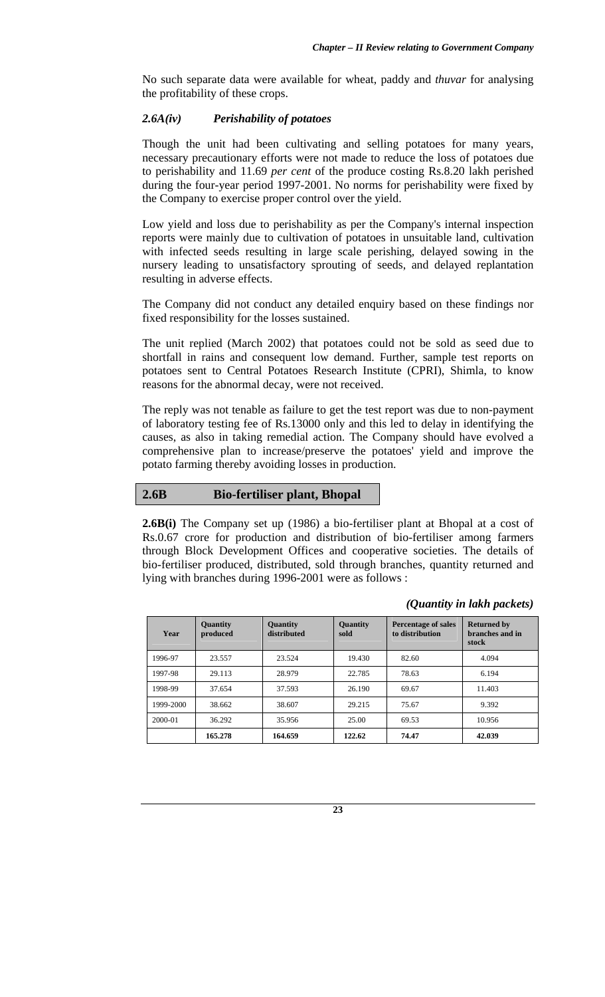No such separate data were available for wheat, paddy and *thuvar* for analysing the profitability of these crops.

## *2.6A(iv) Perishability of potatoes*

Though the unit had been cultivating and selling potatoes for many years, necessary precautionary efforts were not made to reduce the loss of potatoes due to perishability and 11.69 *per cent* of the produce costing Rs.8.20 lakh perished during the four-year period 1997-2001. No norms for perishability were fixed by the Company to exercise proper control over the yield.

Low yield and loss due to perishability as per the Company's internal inspection reports were mainly due to cultivation of potatoes in unsuitable land, cultivation with infected seeds resulting in large scale perishing, delayed sowing in the nursery leading to unsatisfactory sprouting of seeds, and delayed replantation resulting in adverse effects.

The Company did not conduct any detailed enquiry based on these findings nor fixed responsibility for the losses sustained.

The unit replied (March 2002) that potatoes could not be sold as seed due to shortfall in rains and consequent low demand. Further, sample test reports on potatoes sent to Central Potatoes Research Institute (CPRI), Shimla, to know reasons for the abnormal decay, were not received.

The reply was not tenable as failure to get the test report was due to non-payment of laboratory testing fee of Rs.13000 only and this led to delay in identifying the causes, as also in taking remedial action. The Company should have evolved a comprehensive plan to increase/preserve the potatoes' yield and improve the potato farming thereby avoiding losses in production.

# **2.6B Bio-fertiliser plant, Bhopal**

**2.6B(i)** The Company set up (1986) a bio-fertiliser plant at Bhopal at a cost of Rs.0.67 crore for production and distribution of bio-fertiliser among farmers through Block Development Offices and cooperative societies. The details of bio-fertiliser produced, distributed, sold through branches, quantity returned and lying with branches during 1996-2001 were as follows :

| Year      | <b>Quantity</b><br>produced | <b>Quantity</b><br>distributed | <b>Quantity</b><br>sold | <b>Percentage of sales</b><br>to distribution | <b>Returned by</b><br>branches and in<br>stock |
|-----------|-----------------------------|--------------------------------|-------------------------|-----------------------------------------------|------------------------------------------------|
| 1996-97   | 23.557                      | 23.524                         | 19.430                  | 82.60                                         | 4.094                                          |
| 1997-98   | 29.113                      | 28.979                         | 22.785                  | 78.63                                         | 6.194                                          |
| 1998-99   | 37.654                      | 37.593                         | 26.190                  | 69.67                                         | 11.403                                         |
| 1999-2000 | 38.662                      | 38.607                         | 29.215                  | 75.67                                         | 9.392                                          |
| 2000-01   | 36.292                      | 35.956                         | 25.00                   | 69.53                                         | 10.956                                         |
|           | 165.278                     | 164.659                        | 122.62                  | 74.47                                         | 42.039                                         |

## *(Quantity in lakh packets)*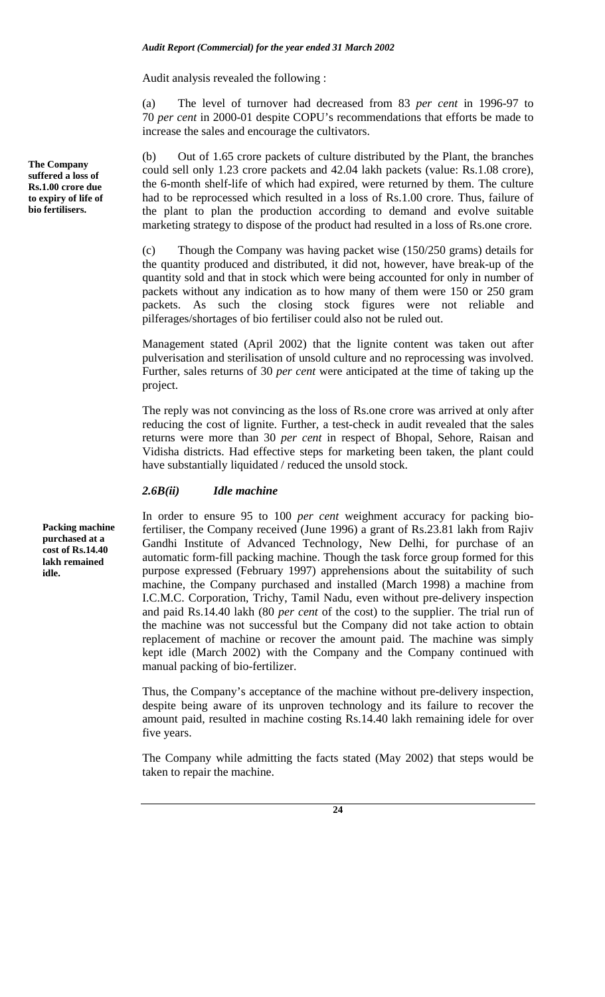Audit analysis revealed the following :

(a) The level of turnover had decreased from 83 *per cent* in 1996-97 to 70 *per cent* in 2000-01 despite COPU's recommendations that efforts be made to increase the sales and encourage the cultivators.

Out of 1.65 crore packets of culture distributed by the Plant, the branches could sell only 1.23 crore packets and 42.04 lakh packets (value: Rs.1.08 crore), the 6-month shelf-life of which had expired, were returned by them. The culture had to be reprocessed which resulted in a loss of Rs.1.00 crore. Thus, failure of the plant to plan the production according to demand and evolve suitable marketing strategy to dispose of the product had resulted in a loss of Rs.one crore.

(c) Though the Company was having packet wise (150/250 grams) details for the quantity produced and distributed, it did not, however, have break-up of the quantity sold and that in stock which were being accounted for only in number of packets without any indication as to how many of them were 150 or 250 gram packets. As such the closing stock figures were not reliable and pilferages/shortages of bio fertiliser could also not be ruled out.

Management stated (April 2002) that the lignite content was taken out after pulverisation and sterilisation of unsold culture and no reprocessing was involved. Further, sales returns of 30 *per cent* were anticipated at the time of taking up the project.

The reply was not convincing as the loss of Rs.one crore was arrived at only after reducing the cost of lignite. Further, a test-check in audit revealed that the sales returns were more than 30 *per cent* in respect of Bhopal, Sehore, Raisan and Vidisha districts. Had effective steps for marketing been taken, the plant could have substantially liquidated / reduced the unsold stock.

#### *2.6B(ii) Idle machine*

In order to ensure 95 to 100 *per cent* weighment accuracy for packing biofertiliser, the Company received (June 1996) a grant of Rs.23.81 lakh from Rajiv Gandhi Institute of Advanced Technology, New Delhi, for purchase of an automatic form-fill packing machine. Though the task force group formed for this purpose expressed (February 1997) apprehensions about the suitability of such machine, the Company purchased and installed (March 1998) a machine from I.C.M.C. Corporation, Trichy, Tamil Nadu, even without pre-delivery inspection and paid Rs.14.40 lakh (80 *per cent* of the cost) to the supplier. The trial run of the machine was not successful but the Company did not take action to obtain replacement of machine or recover the amount paid. The machine was simply kept idle (March 2002) with the Company and the Company continued with manual packing of bio-fertilizer.

Thus, the Company's acceptance of the machine without pre-delivery inspection, despite being aware of its unproven technology and its failure to recover the amount paid, resulted in machine costing Rs.14.40 lakh remaining idele for over five years.

The Company while admitting the facts stated (May 2002) that steps would be taken to repair the machine.

**Packing machine purchased at a cost of Rs.14.40 lakh remained idle.** 

**The Company suffered a loss of Rs.1.00 crore due to expiry of life of bio fertilisers.**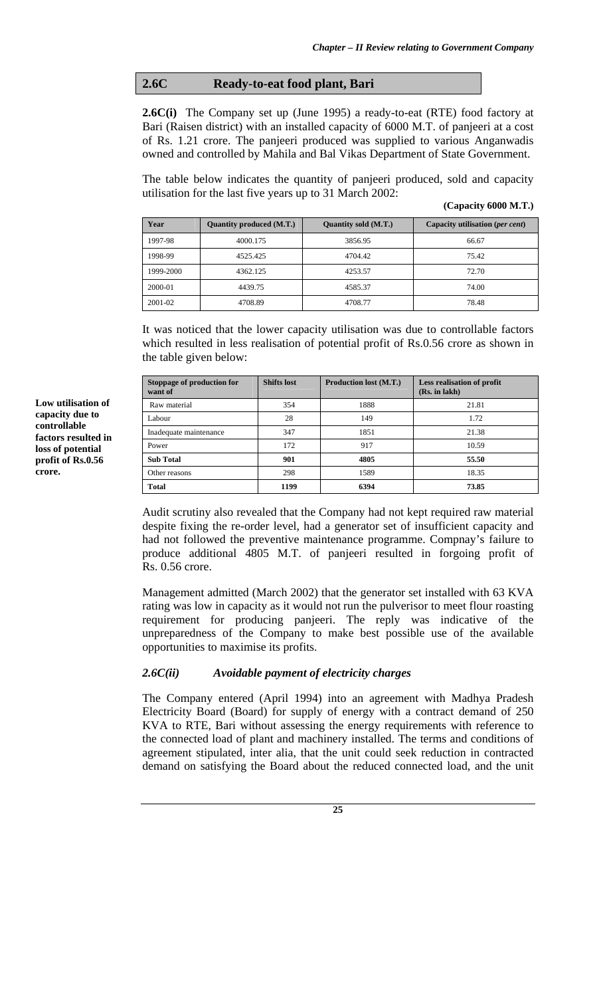# **2.6C Ready-to-eat food plant, Bari**

**2.6C(i)** The Company set up (June 1995) a ready-to-eat (RTE) food factory at Bari (Raisen district) with an installed capacity of 6000 M.T. of panjeeri at a cost of Rs. 1.21 crore. The panjeeri produced was supplied to various Anganwadis owned and controlled by Mahila and Bal Vikas Department of State Government.

The table below indicates the quantity of panjeeri produced, sold and capacity utilisation for the last five years up to 31 March 2002:

| Year      | Quantity produced (M.T.) | Quantity sold (M.T.) | Capacity utilisation (per cent) |
|-----------|--------------------------|----------------------|---------------------------------|
| 1997-98   | 4000.175                 | 3856.95              | 66.67                           |
| 1998-99   | 4525.425                 | 4704.42              | 75.42                           |
| 1999-2000 | 4362.125                 | 4253.57              | 72.70                           |
| 2000-01   | 4439.75                  | 4585.37              | 74.00                           |
| 2001-02   | 4708.89                  | 4708.77              | 78.48                           |

It was noticed that the lower capacity utilisation was due to controllable factors which resulted in less realisation of potential profit of Rs.0.56 crore as shown in the table given below:

| Stoppage of production for<br>want of | <b>Shifts lost</b> | <b>Production lost (M.T.)</b> | <b>Less realisation of profit</b><br>(Rs. in lakh) |
|---------------------------------------|--------------------|-------------------------------|----------------------------------------------------|
| Raw material                          | 354                | 1888                          | 21.81                                              |
| Labour                                | 28                 | 149                           | 1.72                                               |
| Inadequate maintenance                | 347                | 1851                          | 21.38                                              |
| Power                                 | 172                | 917                           | 10.59                                              |
| <b>Sub Total</b>                      | 901                | 4805                          | 55.50                                              |
| Other reasons                         | 298                | 1589                          | 18.35                                              |
| <b>Total</b>                          | 1199               | 6394                          | 73.85                                              |

Audit scrutiny also revealed that the Company had not kept required raw material despite fixing the re-order level, had a generator set of insufficient capacity and had not followed the preventive maintenance programme. Compnay's failure to produce additional 4805 M.T. of panjeeri resulted in forgoing profit of Rs. 0.56 crore.

Management admitted (March 2002) that the generator set installed with 63 KVA rating was low in capacity as it would not run the pulverisor to meet flour roasting requirement for producing panjeeri. The reply was indicative of the unpreparedness of the Company to make best possible use of the available opportunities to maximise its profits.

## *2.6C(ii) Avoidable payment of electricity charges*

The Company entered (April 1994) into an agreement with Madhya Pradesh Electricity Board (Board) for supply of energy with a contract demand of 250 KVA to RTE, Bari without assessing the energy requirements with reference to the connected load of plant and machinery installed. The terms and conditions of agreement stipulated, inter alia, that the unit could seek reduction in contracted demand on satisfying the Board about the reduced connected load, and the unit

**25**

**Low utilisation of capacity due to controllable factors resulted in loss of potential profit of Rs.0.56 crore.**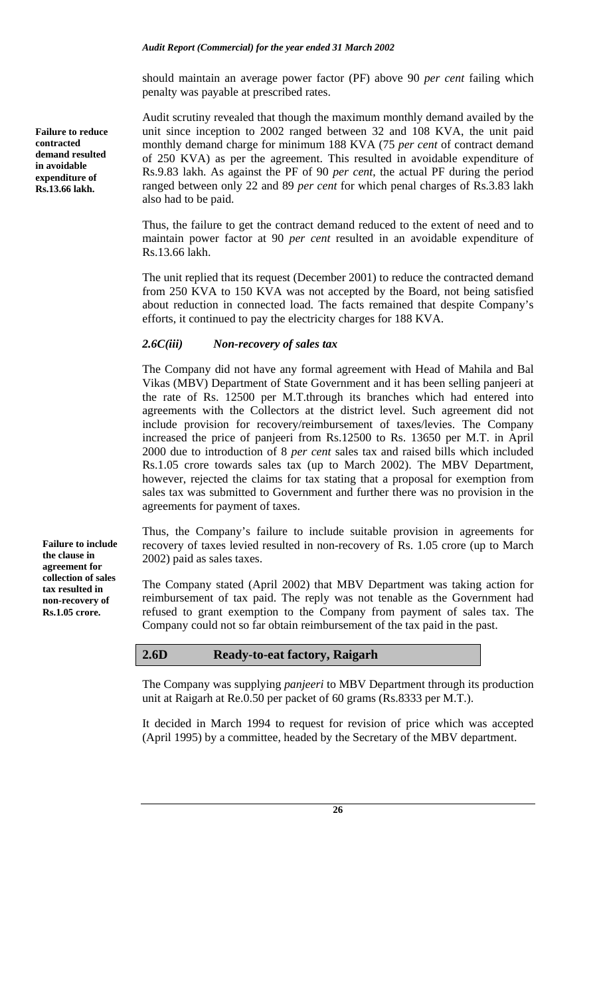should maintain an average power factor (PF) above 90 *per cent* failing which penalty was payable at prescribed rates.

Audit scrutiny revealed that though the maximum monthly demand availed by the unit since inception to 2002 ranged between 32 and 108 KVA, the unit paid monthly demand charge for minimum 188 KVA (75 *per cent* of contract demand of 250 KVA) as per the agreement. This resulted in avoidable expenditure of Rs.9.83 lakh. As against the PF of 90 *per cent*, the actual PF during the period ranged between only 22 and 89 *per cent* for which penal charges of Rs.3.83 lakh also had to be paid.

Thus, the failure to get the contract demand reduced to the extent of need and to maintain power factor at 90 *per cent* resulted in an avoidable expenditure of Rs.13.66 lakh.

The unit replied that its request (December 2001) to reduce the contracted demand from 250 KVA to 150 KVA was not accepted by the Board, not being satisfied about reduction in connected load. The facts remained that despite Company's efforts, it continued to pay the electricity charges for 188 KVA.

## *2.6C(iii) Non-recovery of sales tax*

The Company did not have any formal agreement with Head of Mahila and Bal Vikas (MBV) Department of State Government and it has been selling panjeeri at the rate of Rs. 12500 per M.T.through its branches which had entered into agreements with the Collectors at the district level. Such agreement did not include provision for recovery/reimbursement of taxes/levies. The Company increased the price of panjeeri from Rs.12500 to Rs. 13650 per M.T. in April 2000 due to introduction of 8 *per cent* sales tax and raised bills which included Rs.1.05 crore towards sales tax (up to March 2002). The MBV Department, however, rejected the claims for tax stating that a proposal for exemption from sales tax was submitted to Government and further there was no provision in the agreements for payment of taxes.

Thus, the Company's failure to include suitable provision in agreements for recovery of taxes levied resulted in non-recovery of Rs. 1.05 crore (up to March 2002) paid as sales taxes.

The Company stated (April 2002) that MBV Department was taking action for reimbursement of tax paid. The reply was not tenable as the Government had refused to grant exemption to the Company from payment of sales tax. The Company could not so far obtain reimbursement of the tax paid in the past.

## **2.6D Ready-to-eat factory, Raigarh**

The Company was supplying *panjeeri* to MBV Department through its production unit at Raigarh at Re.0.50 per packet of 60 grams (Rs.8333 per M.T.).

It decided in March 1994 to request for revision of price which was accepted (April 1995) by a committee, headed by the Secretary of the MBV department.

**26**

**Failure to reduce contracted demand resulted in avoidable expenditure of Rs.13.66 lakh.** 

**Failure to include the clause in agreement for collection of sales tax resulted in non-recovery of Rs.1.05 crore.**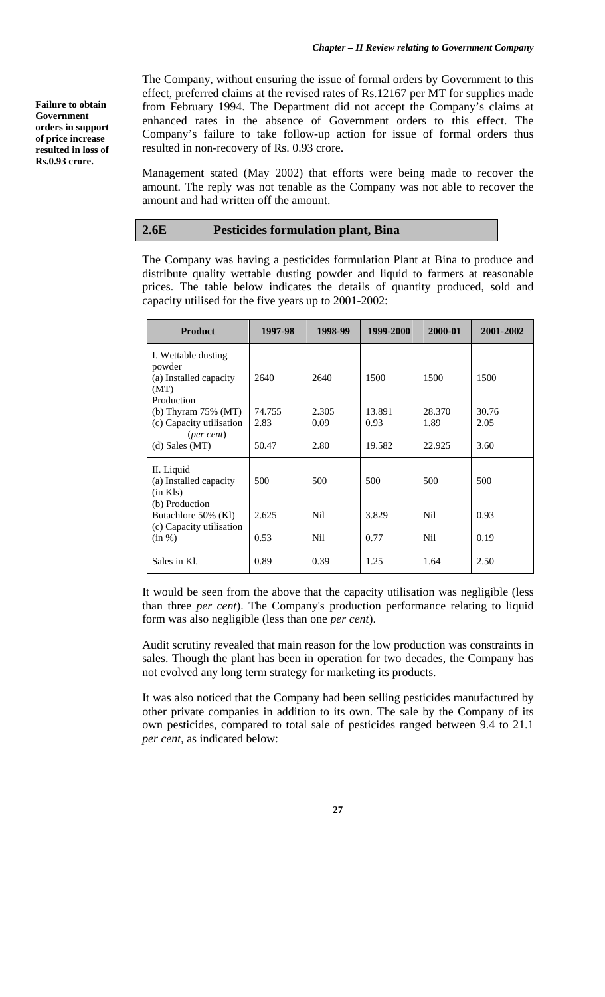**Failure to obtain Government orders in support of price increase resulted in loss of Rs.0.93 crore.** 

The Company, without ensuring the issue of formal orders by Government to this effect, preferred claims at the revised rates of Rs.12167 per MT for supplies made from February 1994. The Department did not accept the Company's claims at enhanced rates in the absence of Government orders to this effect. The Company's failure to take follow-up action for issue of formal orders thus resulted in non-recovery of Rs. 0.93 crore.

Management stated (May 2002) that efforts were being made to recover the amount. The reply was not tenable as the Company was not able to recover the amount and had written off the amount.

## **2.6E Pesticides formulation plant, Bina**

The Company was having a pesticides formulation Plant at Bina to produce and distribute quality wettable dusting powder and liquid to farmers at reasonable prices. The table below indicates the details of quantity produced, sold and capacity utilised for the five years up to 2001-2002:

| <b>Product</b>                                                                 | 1997-98        | 1998-99       | 1999-2000      | 2000-01        | 2001-2002     |
|--------------------------------------------------------------------------------|----------------|---------------|----------------|----------------|---------------|
| I. Wettable dusting<br>powder<br>(a) Installed capacity<br>(MT)                | 2640           | 2640          | 1500           | 1500           | 1500          |
| Production<br>(b) Thyram $75\%$ (MT)<br>(c) Capacity utilisation<br>(per cent) | 74.755<br>2.83 | 2.305<br>0.09 | 13.891<br>0.93 | 28.370<br>1.89 | 30.76<br>2.05 |
| $(d)$ Sales $(MT)$                                                             | 50.47          | 2.80          | 19.582         | 22.925         | 3.60          |
| II. Liquid<br>(a) Installed capacity<br>$(in$ Kls $)$<br>(b) Production        | 500            | 500           | 500            | 500            | 500           |
| Butachlore 50% (Kl)                                                            | 2.625          | Nil.          | 3.829          | N <sub>i</sub> | 0.93          |
| (c) Capacity utilisation<br>(in %)                                             | 0.53           | Nil           | 0.77           | N <sub>i</sub> | 0.19          |
| Sales in Kl.                                                                   | 0.89           | 0.39          | 1.25           | 1.64           | 2.50          |

It would be seen from the above that the capacity utilisation was negligible (less than three *per cent*). The Company's production performance relating to liquid form was also negligible (less than one *per cent*).

Audit scrutiny revealed that main reason for the low production was constraints in sales. Though the plant has been in operation for two decades, the Company has not evolved any long term strategy for marketing its products.

It was also noticed that the Company had been selling pesticides manufactured by other private companies in addition to its own. The sale by the Company of its own pesticides, compared to total sale of pesticides ranged between 9.4 to 21.1 *per cent*, as indicated below: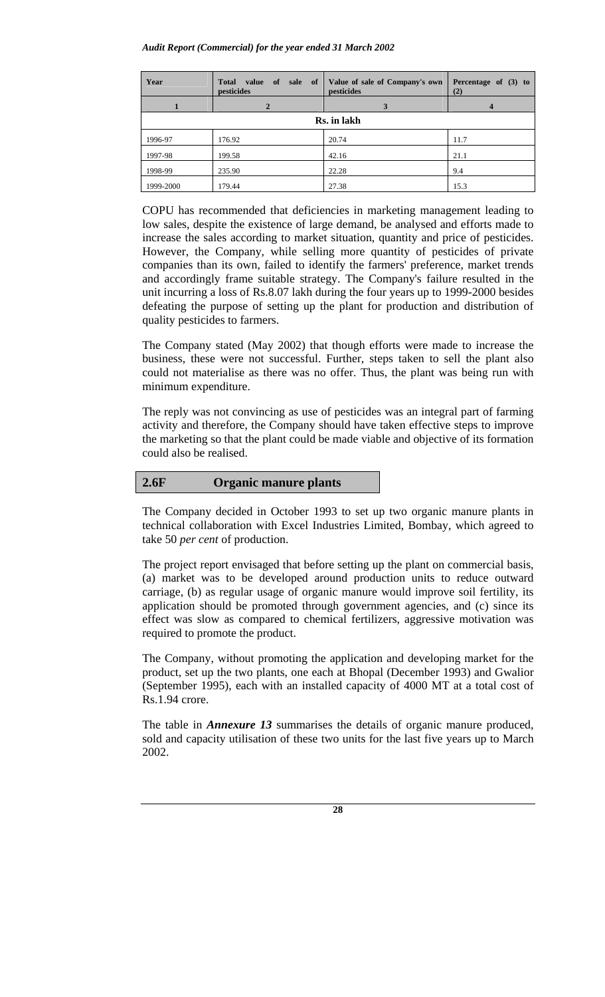#### *Audit Report (Commercial) for the year ended 31 March 2002*

| Year      | <b>Total</b><br>value<br>of<br>sale of<br>pesticides | Value of sale of Company's own<br>pesticides | Percentage of $(3)$ to<br>(2) |
|-----------|------------------------------------------------------|----------------------------------------------|-------------------------------|
|           |                                                      | 3                                            |                               |
|           |                                                      | Rs. in lakh                                  |                               |
| 1996-97   | 176.92                                               | 20.74                                        | 11.7                          |
| 1997-98   | 199.58                                               | 42.16                                        | 21.1                          |
| 1998-99   | 235.90                                               | 22.28                                        | 9.4                           |
| 1999-2000 | 179.44                                               | 27.38                                        | 15.3                          |

COPU has recommended that deficiencies in marketing management leading to low sales, despite the existence of large demand, be analysed and efforts made to increase the sales according to market situation, quantity and price of pesticides. However, the Company, while selling more quantity of pesticides of private companies than its own, failed to identify the farmers' preference, market trends and accordingly frame suitable strategy. The Company's failure resulted in the unit incurring a loss of Rs.8.07 lakh during the four years up to 1999-2000 besides defeating the purpose of setting up the plant for production and distribution of quality pesticides to farmers.

The Company stated (May 2002) that though efforts were made to increase the business, these were not successful. Further, steps taken to sell the plant also could not materialise as there was no offer. Thus, the plant was being run with minimum expenditure.

The reply was not convincing as use of pesticides was an integral part of farming activity and therefore, the Company should have taken effective steps to improve the marketing so that the plant could be made viable and objective of its formation could also be realised.

## **2.6F Organic manure plants**

The Company decided in October 1993 to set up two organic manure plants in technical collaboration with Excel Industries Limited, Bombay, which agreed to take 50 *per cent* of production.

The project report envisaged that before setting up the plant on commercial basis, (a) market was to be developed around production units to reduce outward carriage, (b) as regular usage of organic manure would improve soil fertility, its application should be promoted through government agencies, and (c) since its effect was slow as compared to chemical fertilizers, aggressive motivation was required to promote the product.

The Company, without promoting the application and developing market for the product, set up the two plants, one each at Bhopal (December 1993) and Gwalior (September 1995), each with an installed capacity of 4000 MT at a total cost of Rs.1.94 crore.

The table in *Annexure 13* summarises the details of organic manure produced, sold and capacity utilisation of these two units for the last five years up to March 2002.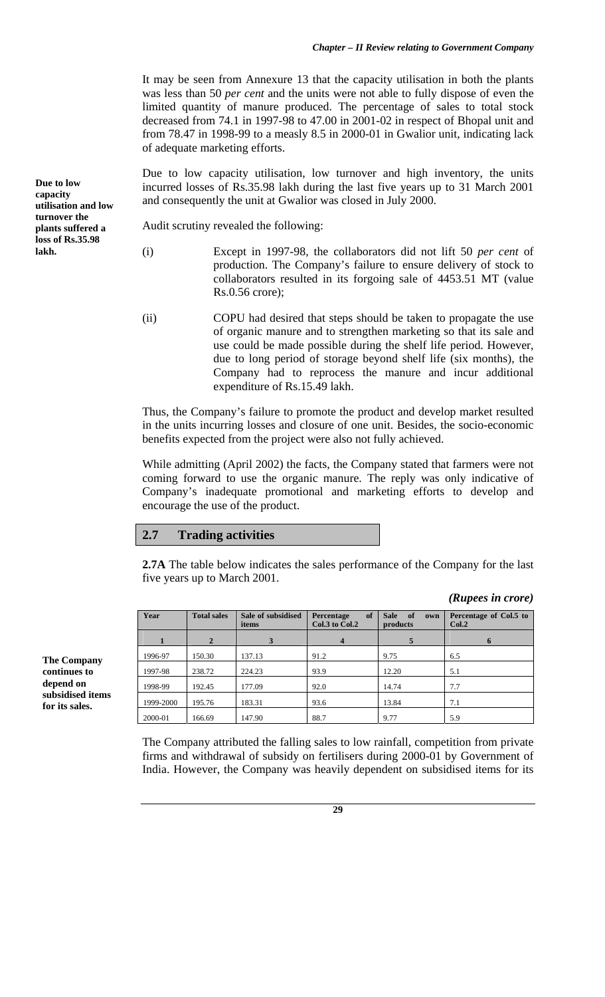It may be seen from Annexure 13 that the capacity utilisation in both the plants was less than 50 *per cent* and the units were not able to fully dispose of even the limited quantity of manure produced. The percentage of sales to total stock decreased from 74.1 in 1997-98 to 47.00 in 2001-02 in respect of Bhopal unit and from 78.47 in 1998-99 to a measly 8.5 in 2000-01 in Gwalior unit, indicating lack of adequate marketing efforts.

Due to low capacity utilisation, low turnover and high inventory, the units incurred losses of Rs.35.98 lakh during the last five years up to 31 March 2001 and consequently the unit at Gwalior was closed in July 2000.

Audit scrutiny revealed the following:

**Due to low capacity** 

**lakh.** 

**utilisation and low turnover the plants suffered a loss of Rs.35.98** 

(i) Except in 1997-98, the collaborators did not lift 50 *per cent* of production. The Company's failure to ensure delivery of stock to collaborators resulted in its forgoing sale of 4453.51 MT (value Rs.0.56 crore);

(ii) COPU had desired that steps should be taken to propagate the use of organic manure and to strengthen marketing so that its sale and use could be made possible during the shelf life period. However, due to long period of storage beyond shelf life (six months), the Company had to reprocess the manure and incur additional expenditure of Rs.15.49 lakh.

Thus, the Company's failure to promote the product and develop market resulted in the units incurring losses and closure of one unit. Besides, the socio-economic benefits expected from the project were also not fully achieved.

While admitting (April 2002) the facts, the Company stated that farmers were not coming forward to use the organic manure. The reply was only indicative of Company's inadequate promotional and marketing efforts to develop and encourage the use of the product.

## **2.7 Trading activities**

**2.7A** The table below indicates the sales performance of the Company for the last five years up to March 2001.

*(Rupees in crore)* 

| Year      | <b>Total sales</b> | Sale of subsidised<br>items | of<br>Percentage<br>Col.3 to Col.2 | <b>Sale</b><br>of<br>own<br>products | Percentage of Col.5 to<br>Col.2 |
|-----------|--------------------|-----------------------------|------------------------------------|--------------------------------------|---------------------------------|
|           | $\mathbf{2}$       |                             | $\boldsymbol{4}$                   | 5                                    | $\mathbf{o}$                    |
| 1996-97   | 150.30             | 137.13                      | 91.2                               | 9.75                                 | 6.5                             |
| 1997-98   | 238.72             | 224.23                      | 93.9                               | 12.20                                | 5.1                             |
| 1998-99   | 192.45             | 177.09                      | 92.0                               | 14.74                                | 7.7                             |
| 1999-2000 | 195.76             | 183.31                      | 93.6                               | 13.84                                | 7.1                             |
| 2000-01   | 166.69             | 147.90                      | 88.7                               | 9.77                                 | 5.9                             |

The Company attributed the falling sales to low rainfall, competition from private firms and withdrawal of subsidy on fertilisers during 2000-01 by Government of India. However, the Company was heavily dependent on subsidised items for its

**continues to depend on subsidised items for its sales.** 

**The Company**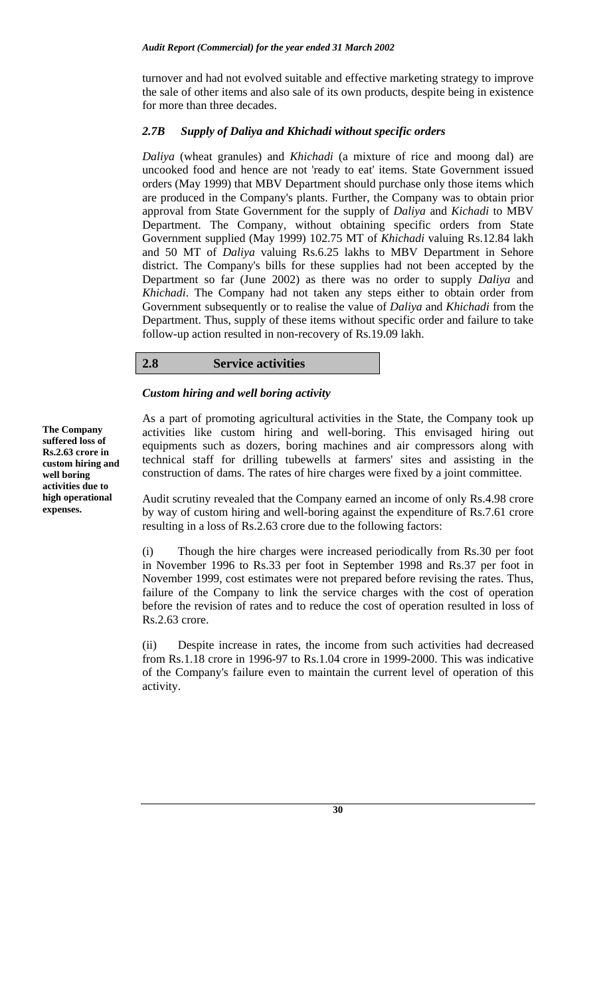turnover and had not evolved suitable and effective marketing strategy to improve the sale of other items and also sale of its own products, despite being in existence for more than three decades.

## *2.7B Supply of Daliya and Khichadi without specific orders*

*Daliya* (wheat granules) and *Khichadi* (a mixture of rice and moong dal) are uncooked food and hence are not 'ready to eat' items. State Government issued orders (May 1999) that MBV Department should purchase only those items which are produced in the Company's plants. Further, the Company was to obtain prior approval from State Government for the supply of *Daliya* and *Kichadi* to MBV Department. The Company, without obtaining specific orders from State Government supplied (May 1999) 102.75 MT of *Khichadi* valuing Rs.12.84 lakh and 50 MT of *Daliya* valuing Rs.6.25 lakhs to MBV Department in Sehore district. The Company's bills for these supplies had not been accepted by the Department so far (June 2002) as there was no order to supply *Daliya* and *Khichadi*. The Company had not taken any steps either to obtain order from Government subsequently or to realise the value of *Daliya* and *Khichadi* from the Department. Thus, supply of these items without specific order and failure to take follow-up action resulted in non-recovery of Rs.19.09 lakh.

## **2.8 Service activities**

## *Custom hiring and well boring activity*

**The Company suffered loss of Rs.2.63 crore in custom hiring and well boring activities due to high operational expenses.** 

As a part of promoting agricultural activities in the State, the Company took up activities like custom hiring and well-boring. This envisaged hiring out equipments such as dozers, boring machines and air compressors along with technical staff for drilling tubewells at farmers' sites and assisting in the construction of dams. The rates of hire charges were fixed by a joint committee.

Audit scrutiny revealed that the Company earned an income of only Rs.4.98 crore by way of custom hiring and well-boring against the expenditure of Rs.7.61 crore resulting in a loss of Rs.2.63 crore due to the following factors:

(i) Though the hire charges were increased periodically from Rs.30 per foot in November 1996 to Rs.33 per foot in September 1998 and Rs.37 per foot in November 1999, cost estimates were not prepared before revising the rates. Thus, failure of the Company to link the service charges with the cost of operation before the revision of rates and to reduce the cost of operation resulted in loss of Rs.2.63 crore.

(ii) Despite increase in rates, the income from such activities had decreased from Rs.1.18 crore in 1996-97 to Rs.1.04 crore in 1999-2000. This was indicative of the Company's failure even to maintain the current level of operation of this activity.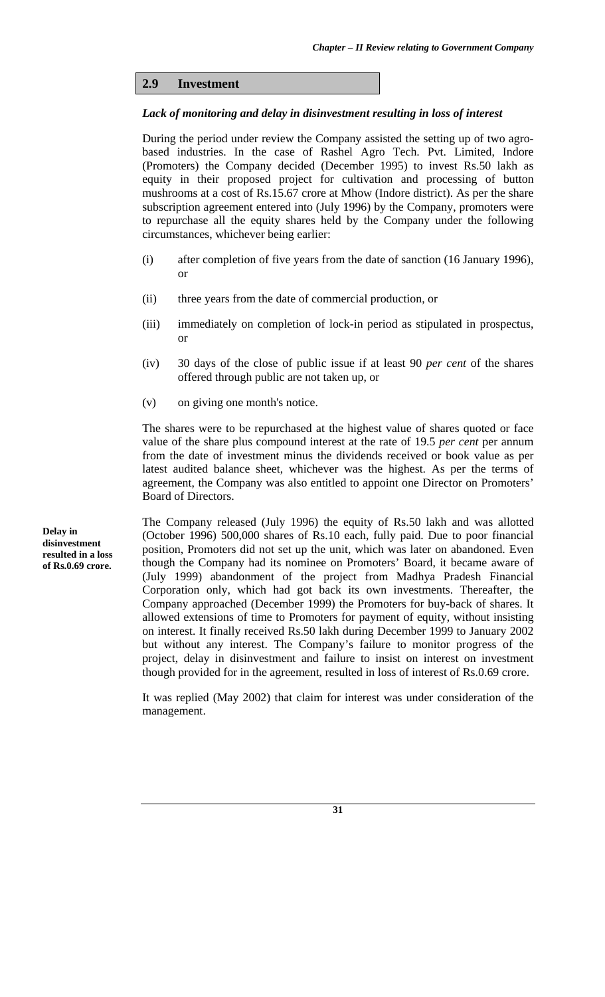# **2.9 Investment**

## *Lack of monitoring and delay in disinvestment resulting in loss of interest*

During the period under review the Company assisted the setting up of two agrobased industries. In the case of Rashel Agro Tech. Pvt. Limited, Indore (Promoters) the Company decided (December 1995) to invest Rs.50 lakh as equity in their proposed project for cultivation and processing of button mushrooms at a cost of Rs.15.67 crore at Mhow (Indore district). As per the share subscription agreement entered into (July 1996) by the Company, promoters were to repurchase all the equity shares held by the Company under the following circumstances, whichever being earlier:

- (i) after completion of five years from the date of sanction (16 January 1996), or
- (ii) three years from the date of commercial production, or
- (iii) immediately on completion of lock-in period as stipulated in prospectus, or
- (iv) 30 days of the close of public issue if at least 90 *per cent* of the shares offered through public are not taken up, or
- (v) on giving one month's notice.

The shares were to be repurchased at the highest value of shares quoted or face value of the share plus compound interest at the rate of 19.5 *per cent* per annum from the date of investment minus the dividends received or book value as per latest audited balance sheet, whichever was the highest. As per the terms of agreement, the Company was also entitled to appoint one Director on Promoters' Board of Directors.

The Company released (July 1996) the equity of Rs.50 lakh and was allotted (October 1996) 500,000 shares of Rs.10 each, fully paid. Due to poor financial position, Promoters did not set up the unit, which was later on abandoned. Even though the Company had its nominee on Promoters' Board, it became aware of (July 1999) abandonment of the project from Madhya Pradesh Financial Corporation only, which had got back its own investments. Thereafter, the Company approached (December 1999) the Promoters for buy-back of shares. It allowed extensions of time to Promoters for payment of equity, without insisting on interest. It finally received Rs.50 lakh during December 1999 to January 2002 but without any interest. The Company's failure to monitor progress of the project, delay in disinvestment and failure to insist on interest on investment though provided for in the agreement, resulted in loss of interest of Rs.0.69 crore.

It was replied (May 2002) that claim for interest was under consideration of the management.

**Delay in disinvestment resulted in a loss of Rs.0.69 crore.**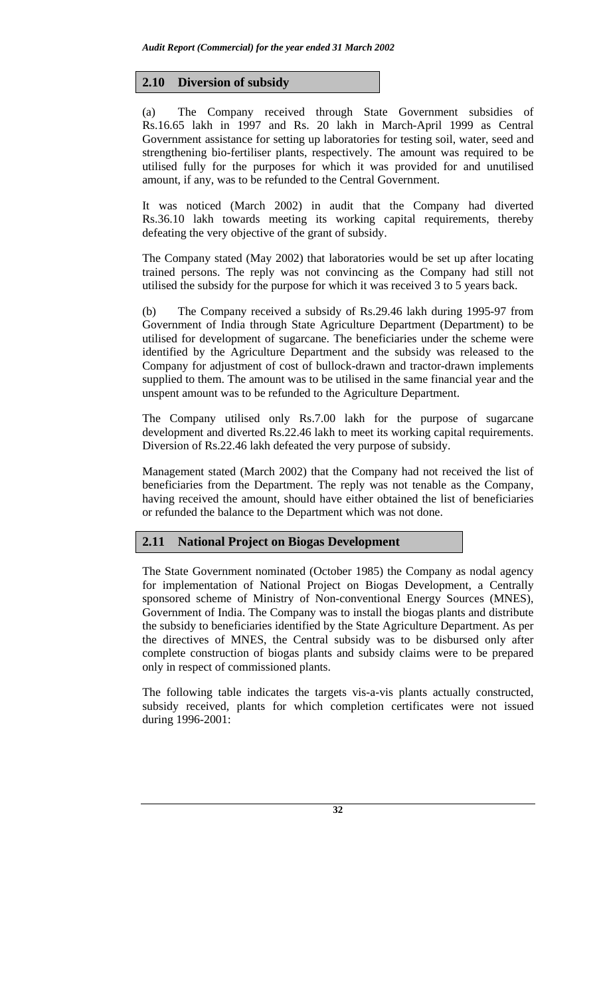## **2.10 Diversion of subsidy**

(a) The Company received through State Government subsidies of Rs.16.65 lakh in 1997 and Rs. 20 lakh in March-April 1999 as Central Government assistance for setting up laboratories for testing soil, water, seed and strengthening bio-fertiliser plants, respectively. The amount was required to be utilised fully for the purposes for which it was provided for and unutilised amount, if any, was to be refunded to the Central Government.

It was noticed (March 2002) in audit that the Company had diverted Rs.36.10 lakh towards meeting its working capital requirements, thereby defeating the very objective of the grant of subsidy.

The Company stated (May 2002) that laboratories would be set up after locating trained persons. The reply was not convincing as the Company had still not utilised the subsidy for the purpose for which it was received 3 to 5 years back.

(b) The Company received a subsidy of Rs.29.46 lakh during 1995-97 from Government of India through State Agriculture Department (Department) to be utilised for development of sugarcane. The beneficiaries under the scheme were identified by the Agriculture Department and the subsidy was released to the Company for adjustment of cost of bullock-drawn and tractor-drawn implements supplied to them. The amount was to be utilised in the same financial year and the unspent amount was to be refunded to the Agriculture Department.

The Company utilised only Rs.7.00 lakh for the purpose of sugarcane development and diverted Rs.22.46 lakh to meet its working capital requirements. Diversion of Rs.22.46 lakh defeated the very purpose of subsidy.

Management stated (March 2002) that the Company had not received the list of beneficiaries from the Department. The reply was not tenable as the Company, having received the amount, should have either obtained the list of beneficiaries or refunded the balance to the Department which was not done.

# **2.11 National Project on Biogas Development**

The State Government nominated (October 1985) the Company as nodal agency for implementation of National Project on Biogas Development, a Centrally sponsored scheme of Ministry of Non-conventional Energy Sources (MNES), Government of India. The Company was to install the biogas plants and distribute the subsidy to beneficiaries identified by the State Agriculture Department. As per the directives of MNES, the Central subsidy was to be disbursed only after complete construction of biogas plants and subsidy claims were to be prepared only in respect of commissioned plants.

The following table indicates the targets vis-a-vis plants actually constructed, subsidy received, plants for which completion certificates were not issued during 1996-2001: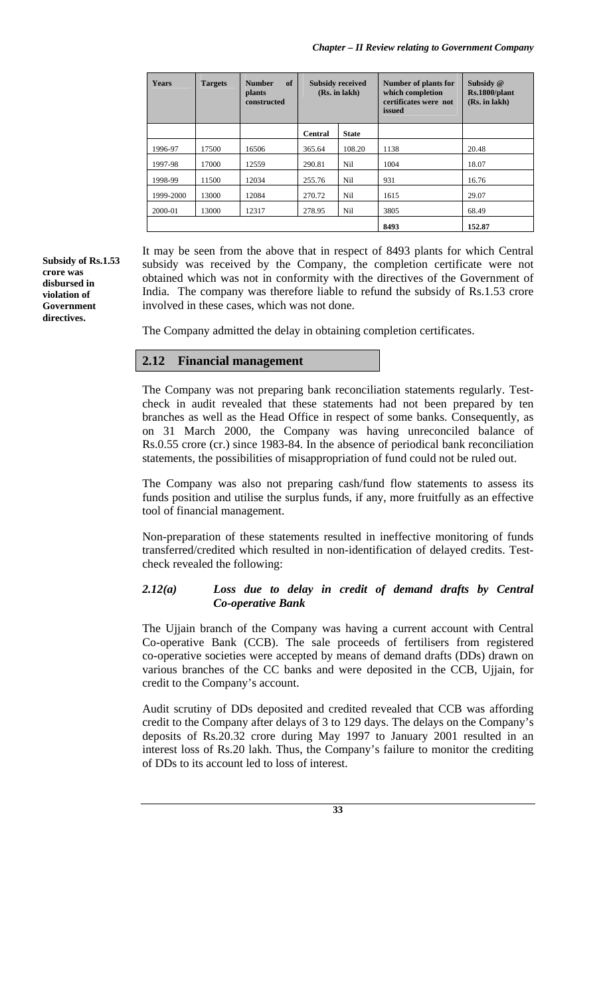| <b>Years</b> | <b>Targets</b> | of<br><b>Number</b><br><b>plants</b><br>constructed | <b>Subsidy received</b><br>(Rs. in lakh) |              | Number of plants for<br>which completion<br>certificates were not<br>issued | Subsidy @<br>Rs.1800/plant<br>(Rs. in lakh) |
|--------------|----------------|-----------------------------------------------------|------------------------------------------|--------------|-----------------------------------------------------------------------------|---------------------------------------------|
|              |                |                                                     | <b>Central</b>                           | <b>State</b> |                                                                             |                                             |
| 1996-97      | 17500          | 16506                                               | 365.64                                   | 108.20       | 1138                                                                        | 20.48                                       |
| 1997-98      | 17000          | 12559                                               | 290.81                                   | Nil          | 1004                                                                        | 18.07                                       |
| 1998-99      | 11500          | 12034                                               | 255.76                                   | Nil          | 931                                                                         | 16.76                                       |
| 1999-2000    | 13000          | 12084                                               | 270.72                                   | Nil          | 1615                                                                        | 29.07                                       |
| 2000-01      | 13000          | 12317                                               | 278.95                                   | Nil          | 3805                                                                        | 68.49                                       |
|              |                |                                                     |                                          |              | 8493                                                                        | 152.87                                      |

**Subsidy of Rs.1.53 crore was disbursed in violation of Government directives.** 

It may be seen from the above that in respect of 8493 plants for which Central subsidy was received by the Company, the completion certificate were not obtained which was not in conformity with the directives of the Government of India. The company was therefore liable to refund the subsidy of Rs.1.53 crore involved in these cases, which was not done.

The Company admitted the delay in obtaining completion certificates.

# **2.12 Financial management**

The Company was not preparing bank reconciliation statements regularly. Testcheck in audit revealed that these statements had not been prepared by ten branches as well as the Head Office in respect of some banks. Consequently, as on 31 March 2000, the Company was having unreconciled balance of Rs.0.55 crore (cr.) since 1983-84. In the absence of periodical bank reconciliation statements, the possibilities of misappropriation of fund could not be ruled out.

The Company was also not preparing cash/fund flow statements to assess its funds position and utilise the surplus funds, if any, more fruitfully as an effective tool of financial management.

Non-preparation of these statements resulted in ineffective monitoring of funds transferred/credited which resulted in non-identification of delayed credits. Testcheck revealed the following:

## *2.12(a) Loss due to delay in credit of demand drafts by Central Co-operative Bank*

The Ujjain branch of the Company was having a current account with Central Co-operative Bank (CCB). The sale proceeds of fertilisers from registered co-operative societies were accepted by means of demand drafts (DDs) drawn on various branches of the CC banks and were deposited in the CCB, Ujjain, for credit to the Company's account.

Audit scrutiny of DDs deposited and credited revealed that CCB was affording credit to the Company after delays of 3 to 129 days. The delays on the Company's deposits of Rs.20.32 crore during May 1997 to January 2001 resulted in an interest loss of Rs.20 lakh. Thus, the Company's failure to monitor the crediting of DDs to its account led to loss of interest.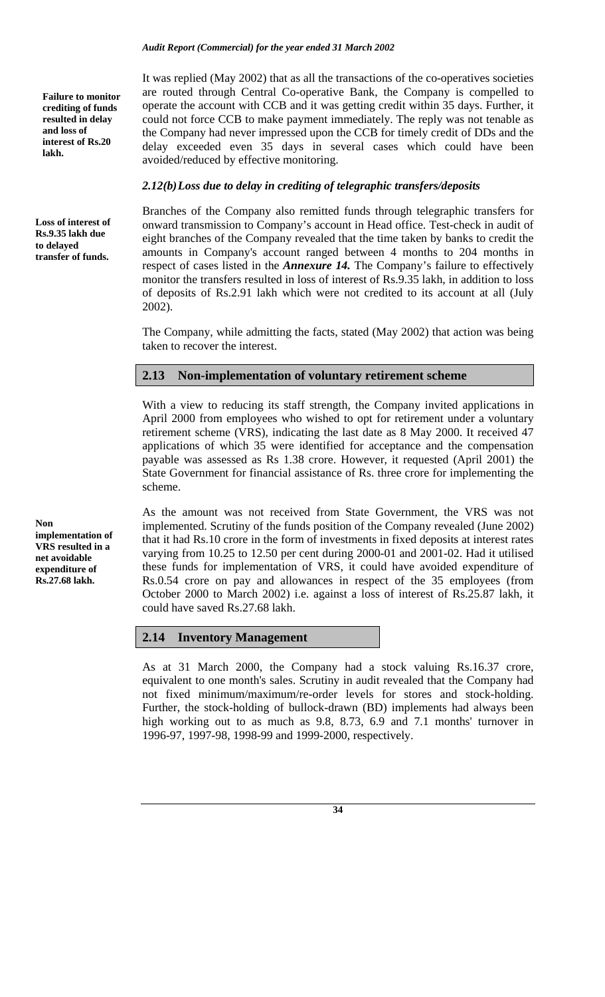**Failure to monitor crediting of funds resulted in delay and loss of interest of Rs.20 lakh.** 

**Loss of interest of Rs.9.35 lakh due to delayed transfer of funds.** 

**Non implementation of VRS resulted in a net avoidable expenditure of Rs.27.68 lakh.** 

It was replied (May 2002) that as all the transactions of the co-operatives societies are routed through Central Co-operative Bank, the Company is compelled to operate the account with CCB and it was getting credit within 35 days. Further, it could not force CCB to make payment immediately. The reply was not tenable as the Company had never impressed upon the CCB for timely credit of DDs and the delay exceeded even 35 days in several cases which could have been avoided/reduced by effective monitoring.

## *2.12(b) Loss due to delay in crediting of telegraphic transfers/deposits*

*Audit Report (Commercial) for the year ended 31 March 2002* 

Branches of the Company also remitted funds through telegraphic transfers for onward transmission to Company's account in Head office. Test-check in audit of eight branches of the Company revealed that the time taken by banks to credit the amounts in Company's account ranged between 4 months to 204 months in respect of cases listed in the *Annexure 14.* The Company's failure to effectively monitor the transfers resulted in loss of interest of Rs.9.35 lakh, in addition to loss of deposits of Rs.2.91 lakh which were not credited to its account at all (July 2002).

The Company, while admitting the facts, stated (May 2002) that action was being taken to recover the interest.

# **2.13 Non-implementation of voluntary retirement scheme**

With a view to reducing its staff strength, the Company invited applications in April 2000 from employees who wished to opt for retirement under a voluntary retirement scheme (VRS), indicating the last date as 8 May 2000. It received 47 applications of which 35 were identified for acceptance and the compensation payable was assessed as Rs 1.38 crore. However, it requested (April 2001) the State Government for financial assistance of Rs. three crore for implementing the scheme.

As the amount was not received from State Government, the VRS was not implemented. Scrutiny of the funds position of the Company revealed (June 2002) that it had Rs.10 crore in the form of investments in fixed deposits at interest rates varying from 10.25 to 12.50 per cent during 2000-01 and 2001-02. Had it utilised these funds for implementation of VRS, it could have avoided expenditure of Rs.0.54 crore on pay and allowances in respect of the 35 employees (from October 2000 to March 2002) i.e. against a loss of interest of Rs.25.87 lakh, it could have saved Rs.27.68 lakh.

# **2.14 Inventory Management**

As at 31 March 2000, the Company had a stock valuing Rs.16.37 crore, equivalent to one month's sales. Scrutiny in audit revealed that the Company had not fixed minimum/maximum/re-order levels for stores and stock-holding. Further, the stock-holding of bullock-drawn (BD) implements had always been high working out to as much as 9.8, 8.73, 6.9 and 7.1 months' turnover in 1996-97, 1997-98, 1998-99 and 1999-2000, respectively.